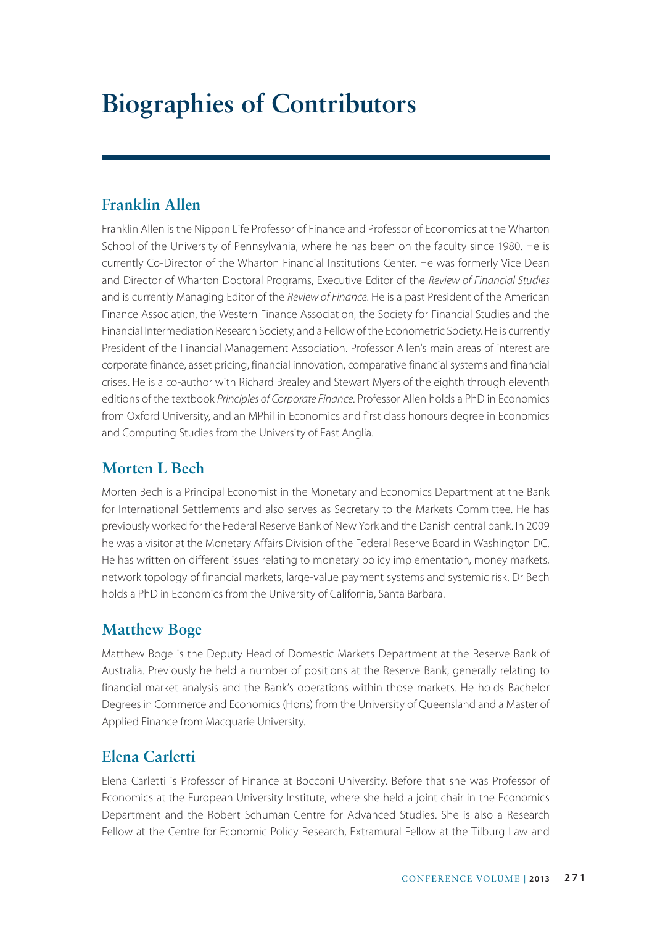# **Biographies of Contributors**

## **Franklin Allen**

Franklin Allen is the Nippon Life Professor of Finance and Professor of Economics at the Wharton School of the University of Pennsylvania, where he has been on the faculty since 1980. He is currently Co-Director of the Wharton Financial Institutions Center. He was formerly Vice Dean and Director of Wharton Doctoral Programs, Executive Editor of the *Review of Financial Studies* and is currently Managing Editor of the *Review of Finance*. He is a past President of the American Finance Association, the Western Finance Association, the Society for Financial Studies and the Financial Intermediation Research Society, and a Fellow of the Econometric Society. He is currently President of the Financial Management Association. Professor Allen's main areas of interest are corporate finance, asset pricing, financial innovation, comparative financial systems and financial crises. He is a co-author with Richard Brealey and Stewart Myers of the eighth through eleventh editions of the textbook *Principles of Corporate Finance*. Professor Allen holds a PhD in Economics from Oxford University, and an MPhil in Economics and first class honours degree in Economics and Computing Studies from the University of East Anglia.

## **Morten L Bech**

Morten Bech is a Principal Economist in the Monetary and Economics Department at the Bank for International Settlements and also serves as Secretary to the Markets Committee. He has previously worked for the Federal Reserve Bank of New York and the Danish central bank. In 2009 he was a visitor at the Monetary Affairs Division of the Federal Reserve Board in Washington DC. He has written on different issues relating to monetary policy implementation, money markets, network topology of financial markets, large-value payment systems and systemic risk. Dr Bech holds a PhD in Economics from the University of California, Santa Barbara.

## **Matthew Boge**

Matthew Boge is the Deputy Head of Domestic Markets Department at the Reserve Bank of Australia. Previously he held a number of positions at the Reserve Bank, generally relating to financial market analysis and the Bank's operations within those markets. He holds Bachelor Degrees in Commerce and Economics (Hons) from the University of Queensland and a Master of Applied Finance from Macquarie University.

## **Elena Carletti**

Elena Carletti is Professor of Finance at Bocconi University. Before that she was Professor of Economics at the European University Institute, where she held a joint chair in the Economics Department and the Robert Schuman Centre for Advanced Studies. She is also a Research Fellow at the Centre for Economic Policy Research, Extramural Fellow at the Tilburg Law and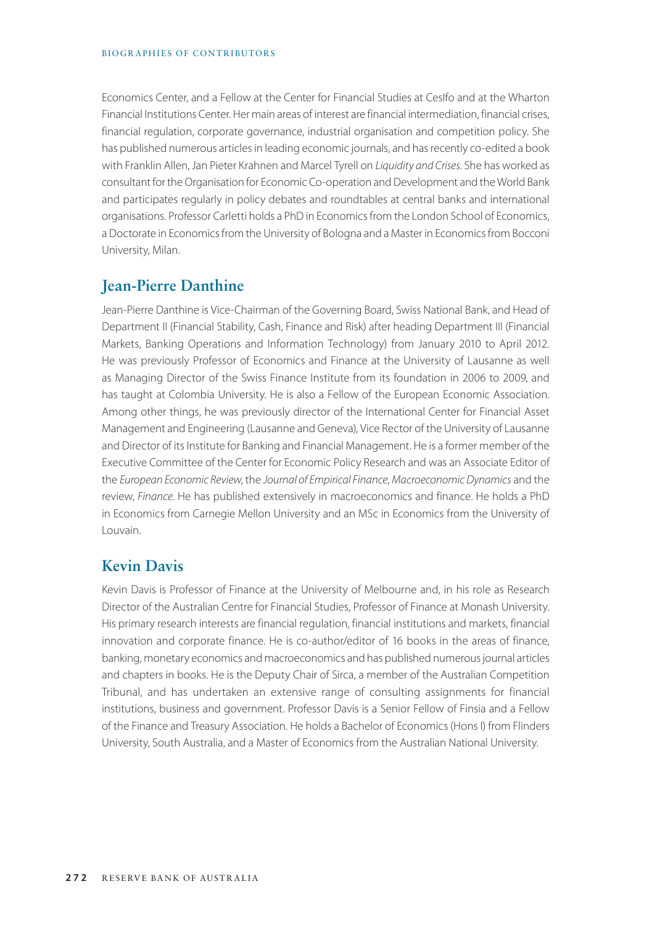#### BIOGRAPHIES OF CONTRIBUTORS

Economics Center, and a Fellow at the Center for Financial Studies at CesIfo and at the Wharton Financial Institutions Center. Her main areas of interest are financial intermediation, financial crises, financial regulation, corporate governance, industrial organisation and competition policy. She has published numerous articles in leading economic journals, and has recently co-edited a book with Franklin Allen, Jan Pieter Krahnen and Marcel Tyrell on *Liquidity and Crises*. She has worked as consultant for the Organisation for Economic Co-operation and Development and the World Bank and participates regularly in policy debates and roundtables at central banks and international organisations. Professor Carletti holds a PhD in Economics from the London School of Economics, a Doctorate in Economics from the University of Bologna and a Master in Economics from Bocconi University, Milan.

#### **Jean-Pierre Danthine**

Jean-Pierre Danthine is Vice-Chairman of the Governing Board, Swiss National Bank, and Head of Department II (Financial Stability, Cash, Finance and Risk) after heading Department III (Financial Markets, Banking Operations and Information Technology) from January 2010 to April 2012. He was previously Professor of Economics and Finance at the University of Lausanne as well as Managing Director of the Swiss Finance Institute from its foundation in 2006 to 2009, and has taught at Colombia University. He is also a Fellow of the European Economic Association. Among other things, he was previously director of the International Center for Financial Asset Management and Engineering (Lausanne and Geneva), Vice Rector of the University of Lausanne and Director of its Institute for Banking and Financial Management. He is a former member of the Executive Committee of the Center for Economic Policy Research and was an Associate Editor of the *European Economic Review*, the *Journal of Empirical Finance*, *Macroeconomic Dynamics* and the review, *Finance*. He has published extensively in macroeconomics and finance. He holds a PhD in Economics from Carnegie Mellon University and an MSc in Economics from the University of Louvain.

#### **Kevin Davis**

Kevin Davis is Professor of Finance at the University of Melbourne and, in his role as Research Director of the Australian Centre for Financial Studies, Professor of Finance at Monash University. His primary research interests are financial regulation, financial institutions and markets, financial innovation and corporate finance. He is co-author/editor of 16 books in the areas of finance, banking, monetary economics and macroeconomics and has published numerous journal articles and chapters in books. He is the Deputy Chair of Sirca, a member of the Australian Competition Tribunal, and has undertaken an extensive range of consulting assignments for financial institutions, business and government. Professor Davis is a Senior Fellow of Finsia and a Fellow of the Finance and Treasury Association. He holds a Bachelor of Economics (Hons I) from Flinders University, South Australia, and a Master of Economics from the Australian National University.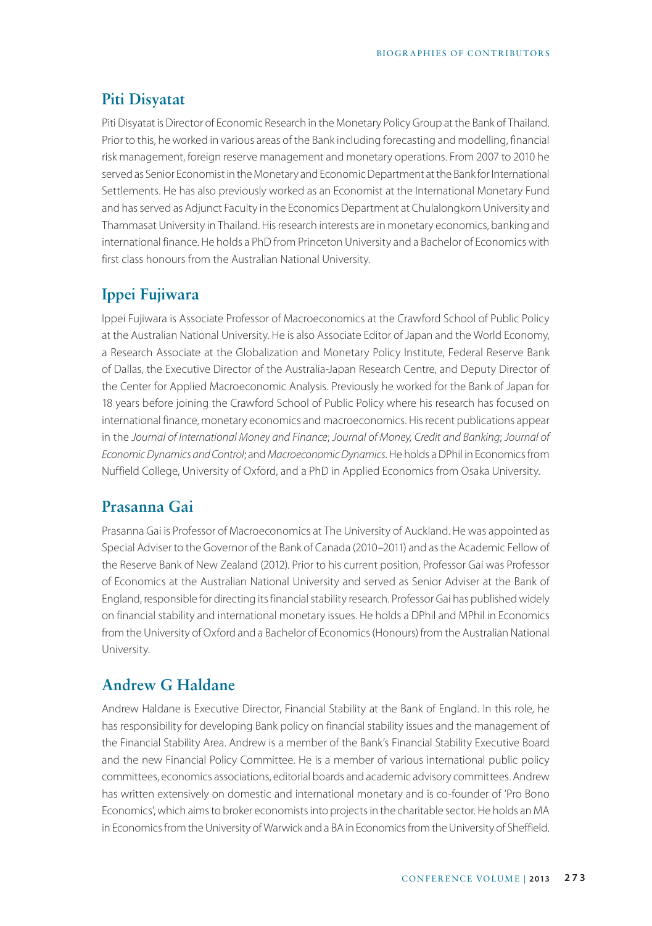#### **Piti Disyatat**

Piti Disyatat is Director of Economic Research in the Monetary Policy Group at the Bank of Thailand. Prior to this, he worked in various areas of the Bank including forecasting and modelling, financial risk management, foreign reserve management and monetary operations. From 2007 to 2010 he served as Senior Economist in the Monetary and Economic Department at the Bank for International Settlements. He has also previously worked as an Economist at the International Monetary Fund and has served as Adjunct Faculty in the Economics Department at Chulalongkorn University and Thammasat University in Thailand. His research interests are in monetary economics, banking and international finance. He holds a PhD from Princeton University and a Bachelor of Economics with first class honours from the Australian National University.

#### **Ippei Fujiwara**

Ippei Fujiwara is Associate Professor of Macroeconomics at the Crawford School of Public Policy at the Australian National University. He is also Associate Editor of Japan and the World Economy, a Research Associate at the Globalization and Monetary Policy Institute, Federal Reserve Bank of Dallas, the Executive Director of the Australia-Japan Research Centre, and Deputy Director of the Center for Applied Macroeconomic Analysis. Previously he worked for the Bank of Japan for 18 years before joining the Crawford School of Public Policy where his research has focused on international finance, monetary economics and macroeconomics. His recent publications appear in the *Journal of International Money and Finance*; *Journal of Money, Credit and Banking*; *Journal of Economic Dynamics and Control*; and *Macroeconomic Dynamics*. He holds a DPhil in Economics from Nuffield College, University of Oxford, and a PhD in Applied Economics from Osaka University.

#### **Prasanna Gai**

Prasanna Gai is Professor of Macroeconomics at The University of Auckland. He was appointed as Special Adviser to the Governor of the Bank of Canada (2010–2011) and as the Academic Fellow of the Reserve Bank of New Zealand (2012). Prior to his current position, Professor Gai was Professor of Economics at the Australian National University and served as Senior Adviser at the Bank of England, responsible for directing its financial stability research. Professor Gai has published widely on financial stability and international monetary issues. He holds a DPhil and MPhil in Economics from the University of Oxford and a Bachelor of Economics (Honours) from the Australian National University.

### **Andrew G Haldane**

Andrew Haldane is Executive Director, Financial Stability at the Bank of England. In this role, he has responsibility for developing Bank policy on financial stability issues and the management of the Financial Stability Area. Andrew is a member of the Bank's Financial Stability Executive Board and the new Financial Policy Committee. He is a member of various international public policy committees, economics associations, editorial boards and academic advisory committees. Andrew has written extensively on domestic and international monetary and is co-founder of 'Pro Bono Economics', which aims to broker economists into projects in the charitable sector. He holds an MA in Economics from the University of Warwick and a BA in Economics from the University of Sheffield.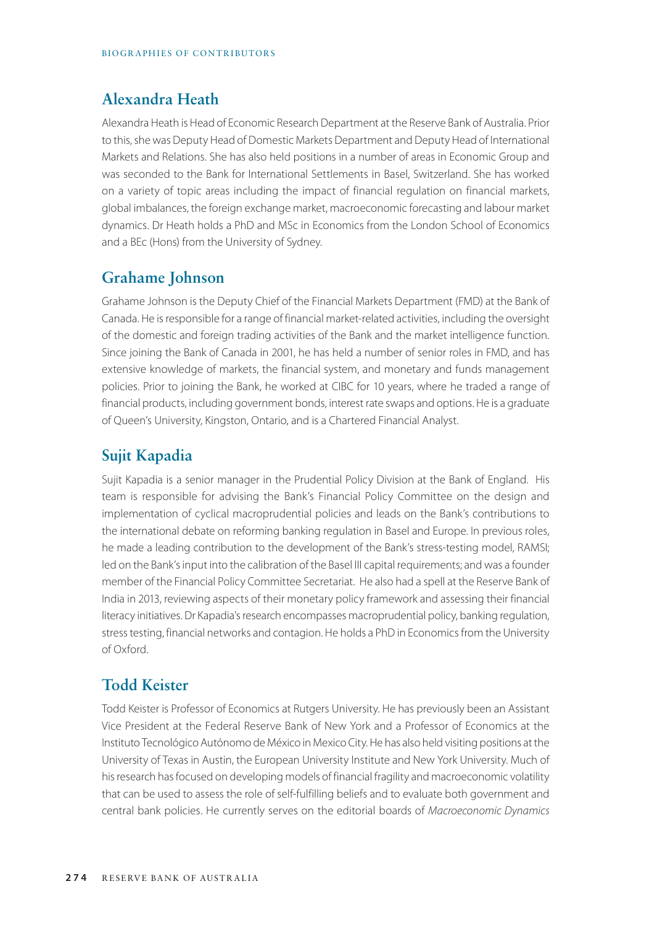### **Alexandra Heath**

Alexandra Heath is Head of Economic Research Department at the Reserve Bank of Australia. Prior to this, she was Deputy Head of Domestic Markets Department and Deputy Head of International Markets and Relations. She has also held positions in a number of areas in Economic Group and was seconded to the Bank for International Settlements in Basel, Switzerland. She has worked on a variety of topic areas including the impact of financial regulation on financial markets, global imbalances, the foreign exchange market, macroeconomic forecasting and labour market dynamics. Dr Heath holds a PhD and MSc in Economics from the London School of Economics and a BEc (Hons) from the University of Sydney.

#### **Grahame Johnson**

Grahame Johnson is the Deputy Chief of the Financial Markets Department (FMD) at the Bank of Canada. He is responsible for a range of financial market-related activities, including the oversight of the domestic and foreign trading activities of the Bank and the market intelligence function. Since joining the Bank of Canada in 2001, he has held a number of senior roles in FMD, and has extensive knowledge of markets, the financial system, and monetary and funds management policies. Prior to joining the Bank, he worked at CIBC for 10 years, where he traded a range of financial products, including government bonds, interest rate swaps and options. He is a graduate of Queen's University, Kingston, Ontario, and is a Chartered Financial Analyst.

### **Sujit Kapadia**

Sujit Kapadia is a senior manager in the Prudential Policy Division at the Bank of England. His team is responsible for advising the Bank's Financial Policy Committee on the design and implementation of cyclical macroprudential policies and leads on the Bank's contributions to the international debate on reforming banking regulation in Basel and Europe. In previous roles, he made a leading contribution to the development of the Bank's stress-testing model, RAMSI; led on the Bank's input into the calibration of the Basel III capital requirements; and was a founder member of the Financial Policy Committee Secretariat. He also had a spell at the Reserve Bank of India in 2013, reviewing aspects of their monetary policy framework and assessing their financial literacy initiatives. Dr Kapadia's research encompasses macroprudential policy, banking regulation, stress testing, financial networks and contagion. He holds a PhD in Economics from the University of Oxford.

## **Todd Keister**

Todd Keister is Professor of Economics at Rutgers University. He has previously been an Assistant Vice President at the Federal Reserve Bank of New York and a Professor of Economics at the Instituto Tecnológico Autónomo de México in Mexico City. He has also held visiting positions at the University of Texas in Austin, the European University Institute and New York University. Much of his research has focused on developing models of financial fragility and macroeconomic volatility that can be used to assess the role of self-fulfilling beliefs and to evaluate both government and central bank policies. He currently serves on the editorial boards of *Macroeconomic Dynamics*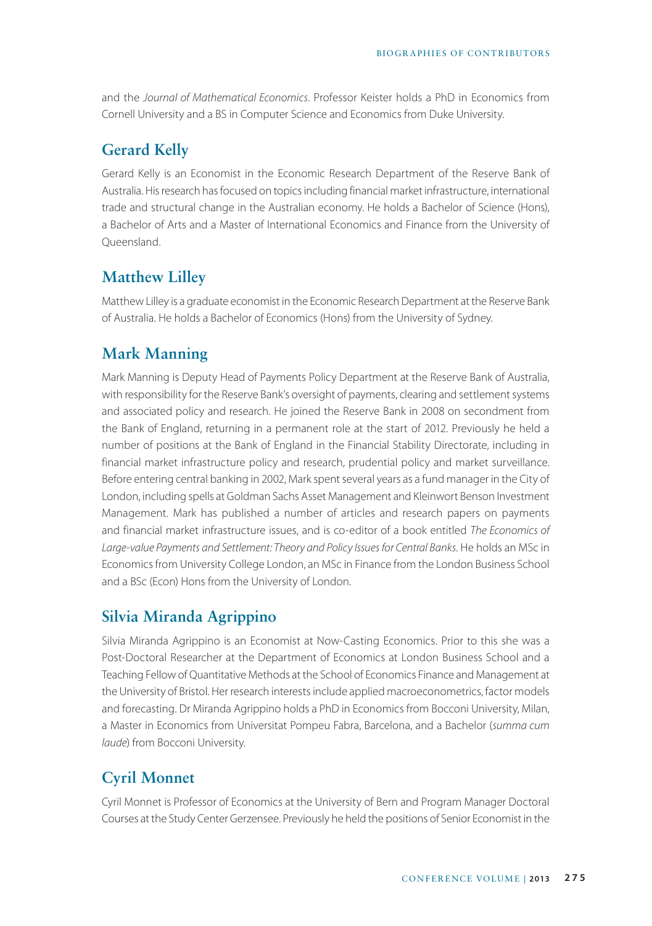and the *Journal of Mathematical Economics*. Professor Keister holds a PhD in Economics from Cornell University and a BS in Computer Science and Economics from Duke University.

## **Gerard Kelly**

Gerard Kelly is an Economist in the Economic Research Department of the Reserve Bank of Australia. His research has focused on topics including financial market infrastructure, international trade and structural change in the Australian economy. He holds a Bachelor of Science (Hons), a Bachelor of Arts and a Master of International Economics and Finance from the University of Queensland.

## **Matthew Lilley**

Matthew Lilley is a graduate economist in the Economic Research Department at the Reserve Bank of Australia. He holds a Bachelor of Economics (Hons) from the University of Sydney.

## **Mark Manning**

Mark Manning is Deputy Head of Payments Policy Department at the Reserve Bank of Australia, with responsibility for the Reserve Bank's oversight of payments, clearing and settlement systems and associated policy and research. He joined the Reserve Bank in 2008 on secondment from the Bank of England, returning in a permanent role at the start of 2012. Previously he held a number of positions at the Bank of England in the Financial Stability Directorate, including in financial market infrastructure policy and research, prudential policy and market surveillance. Before entering central banking in 2002, Mark spent several years as a fund manager in the City of London, including spells at Goldman Sachs Asset Management and Kleinwort Benson Investment Management. Mark has published a number of articles and research papers on payments and financial market infrastructure issues, and is co-editor of a book entitled *The Economics of Large-value Payments and Settlement: Theory and Policy Issues for Central Banks*. He holds an MSc in Economics from University College London, an MSc in Finance from the London Business School and a BSc (Econ) Hons from the University of London.

## **Silvia Miranda Agrippino**

Silvia Miranda Agrippino is an Economist at Now-Casting Economics. Prior to this she was a Post-Doctoral Researcher at the Department of Economics at London Business School and a Teaching Fellow of Quantitative Methods at the School of Economics Finance and Management at the University of Bristol. Her research interests include applied macroeconometrics, factor models and forecasting. Dr Miranda Agrippino holds a PhD in Economics from Bocconi University, Milan, a Master in Economics from Universitat Pompeu Fabra, Barcelona, and a Bachelor (*summa cum laude*) from Bocconi University.

## **Cyril Monnet**

Cyril Monnet is Professor of Economics at the University of Bern and Program Manager Doctoral Courses at the Study Center Gerzensee. Previously he held the positions of Senior Economist in the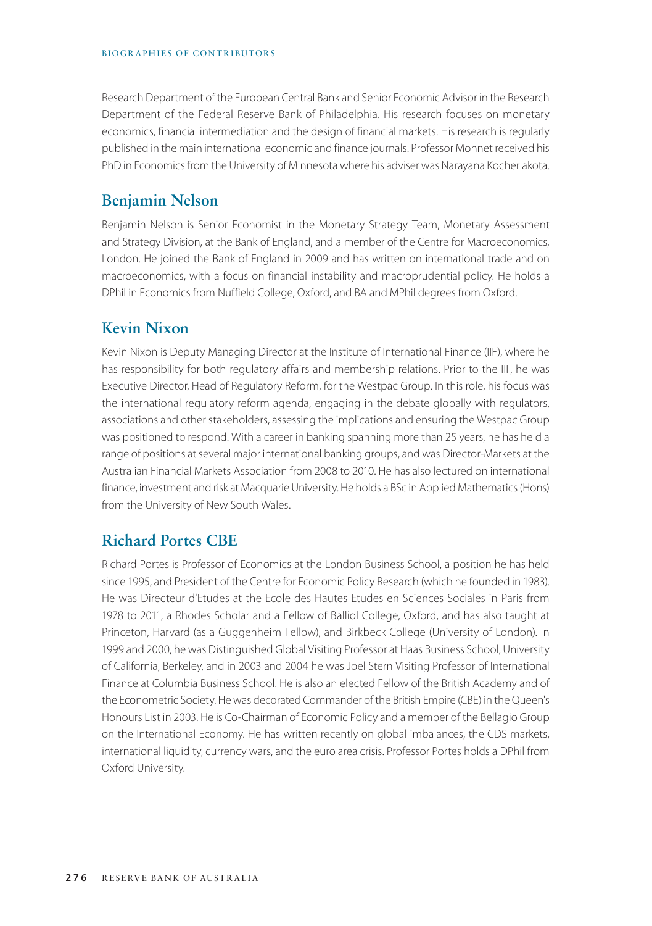Research Department of the European Central Bank and Senior Economic Advisor in the Research Department of the Federal Reserve Bank of Philadelphia. His research focuses on monetary economics, financial intermediation and the design of financial markets. His research is regularly published in the main international economic and finance journals. Professor Monnet received his PhD in Economics from the University of Minnesota where his adviser was Narayana Kocherlakota.

#### **Benjamin Nelson**

Benjamin Nelson is Senior Economist in the Monetary Strategy Team, Monetary Assessment and Strategy Division, at the Bank of England, and a member of the Centre for Macroeconomics, London. He joined the Bank of England in 2009 and has written on international trade and on macroeconomics, with a focus on financial instability and macroprudential policy. He holds a DPhil in Economics from Nuffield College, Oxford, and BA and MPhil degrees from Oxford.

#### **Kevin Nixon**

Kevin Nixon is Deputy Managing Director at the Institute of International Finance (IIF), where he has responsibility for both regulatory affairs and membership relations. Prior to the IIF, he was Executive Director, Head of Regulatory Reform, for the Westpac Group. In this role, his focus was the international regulatory reform agenda, engaging in the debate globally with regulators, associations and other stakeholders, assessing the implications and ensuring the Westpac Group was positioned to respond. With a career in banking spanning more than 25 years, he has held a range of positions at several major international banking groups, and was Director-Markets at the Australian Financial Markets Association from 2008 to 2010. He has also lectured on international finance, investment and risk at Macquarie University. He holds a BSc in Applied Mathematics (Hons) from the University of New South Wales.

## **Richard Portes CBE**

Richard Portes is Professor of Economics at the London Business School, a position he has held since 1995, and President of the Centre for Economic Policy Research (which he founded in 1983). He was Directeur d'Etudes at the Ecole des Hautes Etudes en Sciences Sociales in Paris from 1978 to 2011, a Rhodes Scholar and a Fellow of Balliol College, Oxford, and has also taught at Princeton, Harvard (as a Guggenheim Fellow), and Birkbeck College (University of London). In 1999 and 2000, he was Distinguished Global Visiting Professor at Haas Business School, University of California, Berkeley, and in 2003 and 2004 he was Joel Stern Visiting Professor of International Finance at Columbia Business School. He is also an elected Fellow of the British Academy and of the Econometric Society. He was decorated Commander of the British Empire (CBE) in the Queen's Honours List in 2003. He is Co-Chairman of Economic Policy and a member of the Bellagio Group on the International Economy. He has written recently on global imbalances, the CDS markets, international liquidity, currency wars, and the euro area crisis. Professor Portes holds a DPhil from Oxford University.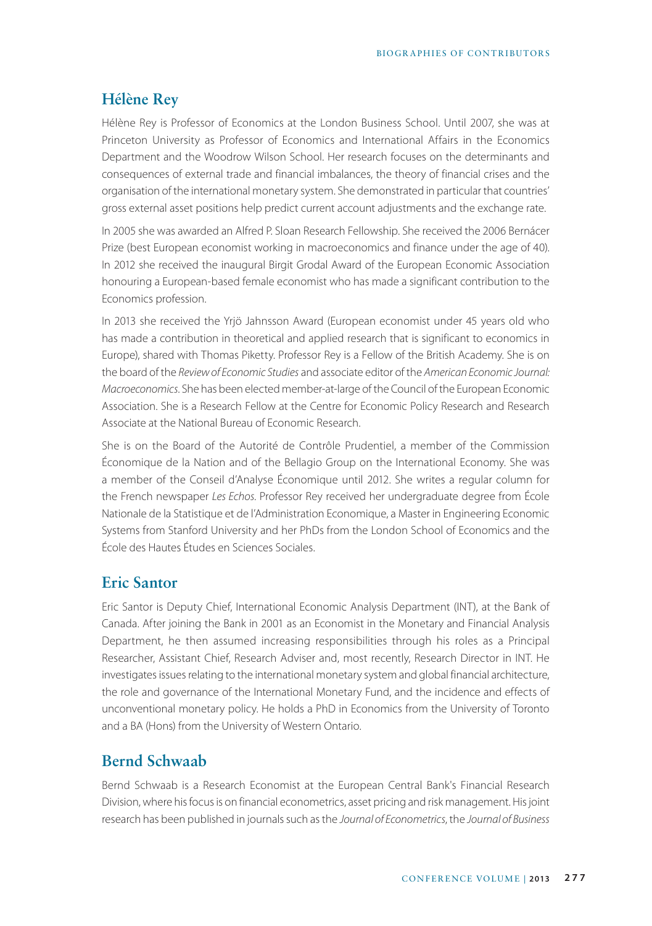#### **Hélène Rey**

Hélène Rey is Professor of Economics at the London Business School. Until 2007, she was at Princeton University as Professor of Economics and International Affairs in the Economics Department and the Woodrow Wilson School. Her research focuses on the determinants and consequences of external trade and financial imbalances, the theory of financial crises and the organisation of the international monetary system. She demonstrated in particular that countries' gross external asset positions help predict current account adjustments and the exchange rate.

In 2005 she was awarded an Alfred P. Sloan Research Fellowship. She received the 2006 Bernácer Prize (best European economist working in macroeconomics and finance under the age of 40). In 2012 she received the inaugural Birgit Grodal Award of the European Economic Association honouring a European-based female economist who has made a significant contribution to the Economics profession.

In 2013 she received the Yrjö Jahnsson Award (European economist under 45 years old who has made a contribution in theoretical and applied research that is significant to economics in Europe), shared with Thomas Piketty. Professor Rey is a Fellow of the British Academy. She is on the board of the *Review of Economic Studies* and associate editor of the *American Economic Journal: Macroeconomics*. She has been elected member-at-large of the Council of the European Economic Association. She is a Research Fellow at the Centre for Economic Policy Research and Research Associate at the National Bureau of Economic Research.

She is on the Board of the Autorité de Contrôle Prudentiel, a member of the Commission Économique de la Nation and of the Bellagio Group on the International Economy. She was a member of the Conseil d'Analyse Économique until 2012. She writes a regular column for the French newspaper *Les Echos*. Professor Rey received her undergraduate degree from École Nationale de la Statistique et de l'Administration Economique, a Master in Engineering Economic Systems from Stanford University and her PhDs from the London School of Economics and the École des Hautes Études en Sciences Sociales.

#### **Eric Santor**

Eric Santor is Deputy Chief, International Economic Analysis Department (INT), at the Bank of Canada. After joining the Bank in 2001 as an Economist in the Monetary and Financial Analysis Department, he then assumed increasing responsibilities through his roles as a Principal Researcher, Assistant Chief, Research Adviser and, most recently, Research Director in INT. He investigates issues relating to the international monetary system and global financial architecture, the role and governance of the International Monetary Fund, and the incidence and effects of unconventional monetary policy. He holds a PhD in Economics from the University of Toronto and a BA (Hons) from the University of Western Ontario.

#### **Bernd Schwaab**

Bernd Schwaab is a Research Economist at the European Central Bank's Financial Research Division, where his focus is on financial econometrics, asset pricing and risk management. His joint research has been published in journals such as the *Journal of Econometrics*, the *Journal of Business*